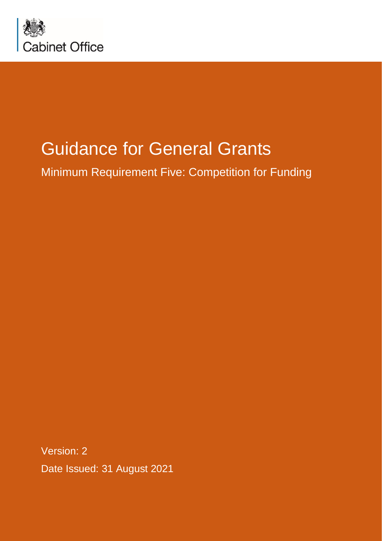

# Guidance for General Grants

Minimum Requirement Five: Competition for Funding

Version: 2 Date Issued: 31 August 2021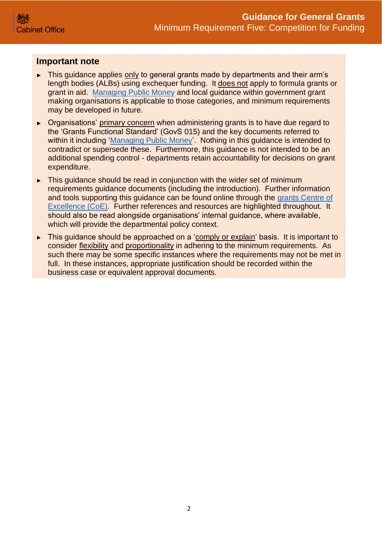#### **Important note**

- ► This guidance applies only to general grants made by departments and their arm's length bodies (ALBs) using exchequer funding. It does not apply to formula grants or grant in aid. [Managing Public Money](https://www.gov.uk/government/publications/managing-public-money) and local guidance within government grant making organisations is applicable to those categories, and minimum requirements may be developed in future.
- ► Organisations' primary concern when administering grants is to have due regard to the 'Grants Functional Standard' (GovS 015) and the key documents referred to within it including ['Managing Public Money'](https://www.gov.uk/government/publications/managing-public-money). Nothing in this guidance is intended to contradict or supersede these. Furthermore, this guidance is not intended to be an additional spending control - departments retain accountability for decisions on grant expenditure.
- ► This guidance should be read in conjunction with the wider set of minimum requirements guidance documents (including the introduction). Further information and tools supporting this guidance can be found online through the [grants Centre of](https://gcoe.civilservice.gov.uk/sign-in/)  [Excellence \(CoE\).](https://gcoe.civilservice.gov.uk/sign-in/) Further references and resources are highlighted throughout. It should also be read alongside organisations' internal guidance, where available, which will provide the departmental policy context.
- ► This guidance should be approached on a 'comply or explain' basis. It is important to consider flexibility and proportionality in adhering to the minimum requirements. As such there may be some specific instances where the requirements may not be met in full. In these instances, appropriate justification should be recorded within the business case or equivalent approval documents.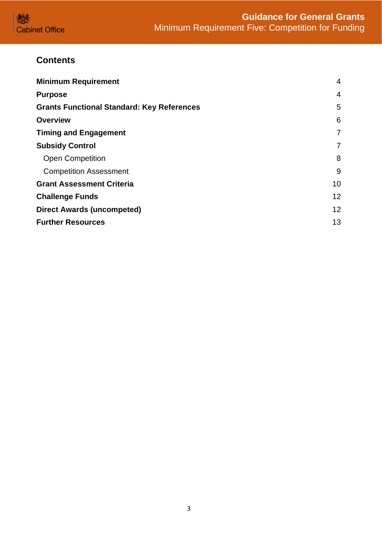

# **Contents**

| <b>Minimum Requirement</b>                        | 4  |
|---------------------------------------------------|----|
| <b>Purpose</b>                                    | 4  |
| <b>Grants Functional Standard: Key References</b> | 5  |
| <b>Overview</b>                                   | 6  |
| <b>Timing and Engagement</b>                      | 7  |
| <b>Subsidy Control</b>                            | 7  |
| <b>Open Competition</b>                           | 8  |
| <b>Competition Assessment</b>                     | 9  |
| <b>Grant Assessment Criteria</b>                  | 10 |
| <b>Challenge Funds</b>                            | 12 |
| <b>Direct Awards (uncompeted)</b>                 | 12 |
| <b>Further Resources</b>                          | 13 |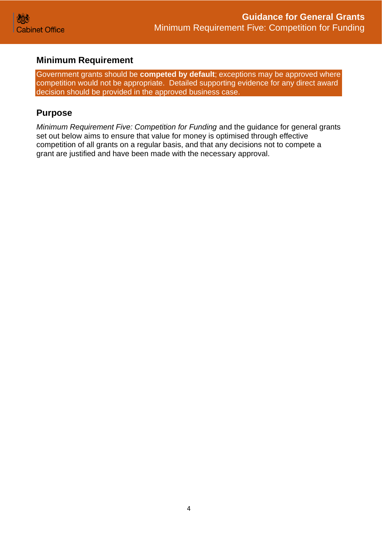## <span id="page-3-0"></span>**Minimum Requirement**

Government grants should be **competed by default**; exceptions may be approved where competition would not be appropriate. Detailed supporting evidence for any direct award decision should be provided in the approved business case.

### <span id="page-3-1"></span>**Purpose**

*Minimum Requirement Five: Competition for Funding* and the guidance for general grants set out below aims to ensure that value for money is optimised through effective competition of all grants on a regular basis, and that any decisions not to compete a grant are justified and have been made with the necessary approval.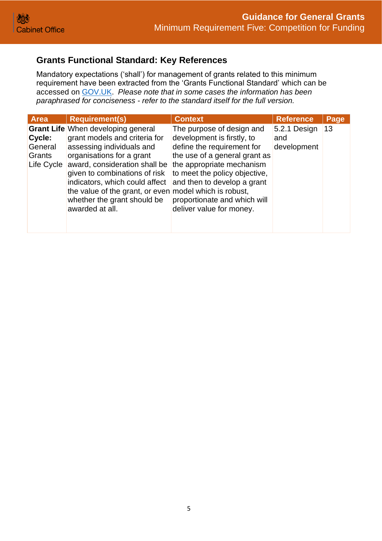## <span id="page-4-0"></span>**Grants Functional Standard: Key References**

Mandatory expectations ('shall') for management of grants related to this minimum requirement have been extracted from the 'Grants Functional Standard' which can be accessed on [GOV.UK.](https://www.gov.uk/government/publications/grants-standards/grant-standards) *Please note that in some cases the information has been paraphrased for conciseness - refer to the standard itself for the full version.*

| <b>Area</b>                               | <b>Requirement(s)</b>                                                                                                                                                                                                                                                                                                                                | <b>Context</b>                                                                                                                                                                                                                                                                  | <b>Reference</b>                   | Page |
|-------------------------------------------|------------------------------------------------------------------------------------------------------------------------------------------------------------------------------------------------------------------------------------------------------------------------------------------------------------------------------------------------------|---------------------------------------------------------------------------------------------------------------------------------------------------------------------------------------------------------------------------------------------------------------------------------|------------------------------------|------|
| Cycle:<br>General<br>Grants<br>Life Cycle | <b>Grant Life When developing general</b><br>grant models and criteria for<br>assessing individuals and<br>organisations for a grant<br>award, consideration shall be<br>given to combinations of risk<br>indicators, which could affect<br>the value of the grant, or even model which is robust,<br>whether the grant should be<br>awarded at all. | The purpose of design and<br>development is firstly, to<br>define the requirement for<br>the use of a general grant as<br>the appropriate mechanism<br>to meet the policy objective,<br>and then to develop a grant<br>proportionate and which will<br>deliver value for money. | 5.2.1 Design<br>and<br>development | 13   |
|                                           |                                                                                                                                                                                                                                                                                                                                                      |                                                                                                                                                                                                                                                                                 |                                    |      |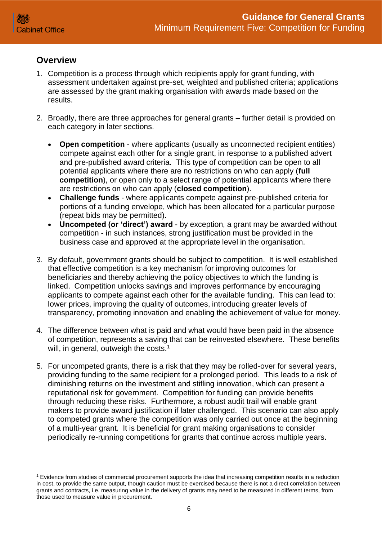### <span id="page-5-0"></span>**Overview**

- 1. Competition is a process through which recipients apply for grant funding, with assessment undertaken against pre-set, weighted and published criteria; applications are assessed by the grant making organisation with awards made based on the results.
- 2. Broadly, there are three approaches for general grants further detail is provided on each category in later sections.
	- **Open competition** where applicants (usually as unconnected recipient entities) compete against each other for a single grant, in response to a published advert and pre-published award criteria. This type of competition can be open to all potential applicants where there are no restrictions on who can apply (**full competition**), or open only to a select range of potential applicants where there are restrictions on who can apply (**closed competition**).
	- **Challenge funds** where applicants compete against pre-published criteria for portions of a funding envelope, which has been allocated for a particular purpose (repeat bids may be permitted).
	- **Uncompeted (or 'direct') award** by exception, a grant may be awarded without competition - in such instances, strong justification must be provided in the business case and approved at the appropriate level in the organisation.
- 3. By default, government grants should be subject to competition. It is well established that effective competition is a key mechanism for improving outcomes for beneficiaries and thereby achieving the policy objectives to which the funding is linked. Competition unlocks savings and improves performance by encouraging applicants to compete against each other for the available funding. This can lead to: lower prices, improving the quality of outcomes, introducing greater levels of transparency, promoting innovation and enabling the achievement of value for money.
- 4. The difference between what is paid and what would have been paid in the absence of competition, represents a saving that can be reinvested elsewhere. These benefits will, in general, outweigh the costs.<sup>1</sup>
- 5. For uncompeted grants, there is a risk that they may be rolled-over for several years, providing funding to the same recipient for a prolonged period. This leads to a risk of diminishing returns on the investment and stifling innovation, which can present a reputational risk for government. Competition for funding can provide benefits through reducing these risks. Furthermore, a robust audit trail will enable grant makers to provide award justification if later challenged. This scenario can also apply to competed grants where the competition was only carried out once at the beginning of a multi-year grant. It is beneficial for grant making organisations to consider periodically re-running competitions for grants that continue across multiple years.

<sup>1</sup> Evidence from studies of commercial procurement supports the idea that increasing competition results in a reduction in cost, to provide the same output, though caution must be exercised because there is not a direct correlation between grants and contracts, i.e. measuring value in the delivery of grants may need to be measured in different terms, from those used to measure value in procurement.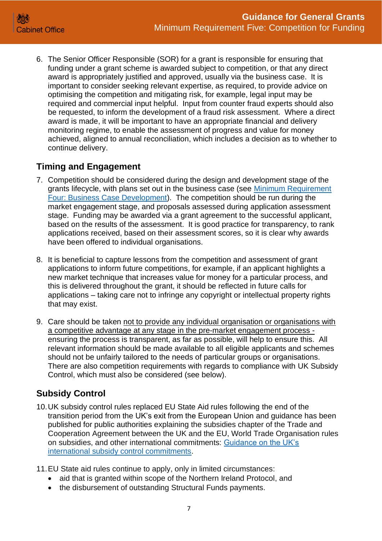

6. The Senior Officer Responsible (SOR) for a grant is responsible for ensuring that funding under a grant scheme is awarded subject to competition, or that any direct award is appropriately justified and approved, usually via the business case. It is important to consider seeking relevant expertise, as required, to provide advice on optimising the competition and mitigating risk, for example, legal input may be required and commercial input helpful. Input from counter fraud experts should also be requested, to inform the development of a fraud risk assessment. Where a direct award is made, it will be important to have an appropriate financial and delivery monitoring regime, to enable the assessment of progress and value for money achieved, aligned to annual reconciliation, which includes a decision as to whether to continue delivery.

## <span id="page-6-0"></span>**Timing and Engagement**

- 7. Competition should be considered during the design and development stage of the grants lifecycle, with plans set out in the business case (see [Minimum Requirement](https://assets.publishing.service.gov.uk/government/uploads/system/uploads/attachment_data/file/722198/Grants-Standard-FOUR-Business-Case.pdf)  [Four: Business Case Development\)](https://assets.publishing.service.gov.uk/government/uploads/system/uploads/attachment_data/file/722198/Grants-Standard-FOUR-Business-Case.pdf). The competition should be run during the market engagement stage, and proposals assessed during application assessment stage. Funding may be awarded via a grant agreement to the successful applicant, based on the results of the assessment. It is good practice for transparency, to rank applications received, based on their assessment scores, so it is clear why awards have been offered to individual organisations.
- 8. It is beneficial to capture lessons from the competition and assessment of grant applications to inform future competitions, for example, if an applicant highlights a new market technique that increases value for money for a particular process, and this is delivered throughout the grant, it should be reflected in future calls for applications – taking care not to infringe any copyright or intellectual property rights that may exist.
- 9. Care should be taken not to provide any individual organisation or organisations with a competitive advantage at any stage in the pre-market engagement process ensuring the process is transparent, as far as possible, will help to ensure this. All relevant information should be made available to all eligible applicants and schemes should not be unfairly tailored to the needs of particular groups or organisations. There are also competition requirements with regards to compliance with UK Subsidy Control, which must also be considered (see below).

# <span id="page-6-1"></span>**Subsidy Control**

- 10.UK subsidy control rules replaced EU State Aid rules following the end of the transition period from the UK's exit from the European Union and guidance has been published for public authorities explaining the subsidies chapter of the Trade and Cooperation Agreement between the UK and the EU, World Trade Organisation rules on subsidies, and other international commitments: [Guidance on the UK's](https://www.gov.uk/government/publications/complying-with-the-uks-international-obligations-on-subsidy-control-guidance-for-public-authorities)  [international subsidy control commitments.](https://www.gov.uk/government/publications/complying-with-the-uks-international-obligations-on-subsidy-control-guidance-for-public-authorities)
- 11.EU State aid rules continue to apply, only in limited circumstances:
	- aid that is granted within scope of the Northern Ireland Protocol, and
	- the disbursement of outstanding Structural Funds payments.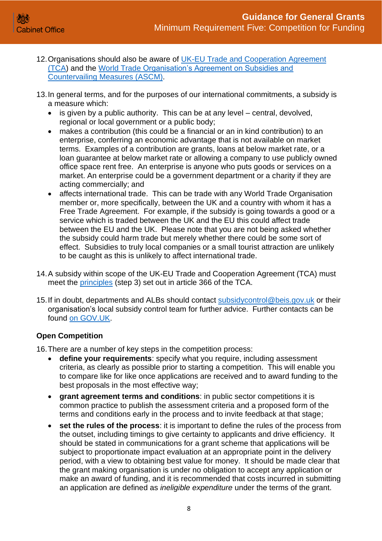- 12. Organisations should also be aware of [UK-EU Trade and Cooperation Agreement](https://www.gov.uk/government/publications/complying-with-the-uks-international-obligations-on-subsidy-control-guidance-for-public-authorities/technical-guidance-on-the-uks-international-subsidy-control-commitments#section-4) [\(TCA\)](https://www.gov.uk/government/publications/complying-with-the-uks-international-obligations-on-subsidy-control-guidance-for-public-authorities/technical-guidance-on-the-uks-international-subsidy-control-commitments#section-4) and the [World Trade Organisation's Agreement on Subsidies and](https://www.gov.uk/government/publications/complying-with-the-uks-international-obligations-on-subsidy-control-guidance-for-public-authorities/technical-guidance-on-the-uks-international-subsidy-control-commitments#section-5)  [Countervailing Measures \(ASCM\).](https://www.gov.uk/government/publications/complying-with-the-uks-international-obligations-on-subsidy-control-guidance-for-public-authorities/technical-guidance-on-the-uks-international-subsidy-control-commitments#section-5)
- 13.In general terms, and for the purposes of our international commitments, a subsidy is a measure which:
	- is given by a public authority. This can be at any level central, devolved, regional or local government or a public body;
	- makes a contribution (this could be a financial or an in kind contribution) to an enterprise, conferring an economic advantage that is not available on market terms. Examples of a contribution are grants, loans at below market rate, or a loan guarantee at below market rate or allowing a company to use publicly owned office space rent free. An enterprise is anyone who puts goods or services on a market. An enterprise could be a government department or a charity if they are acting commercially; and
	- affects international trade. This can be trade with any World Trade Organisation member or, more specifically, between the UK and a country with whom it has a Free Trade Agreement. For example, if the subsidy is going towards a good or a service which is traded between the UK and the EU this could affect trade between the EU and the UK. Please note that you are not being asked whether the subsidy could harm trade but merely whether there could be some sort of effect. Subsidies to truly local companies or a small tourist attraction are unlikely to be caught as this is unlikely to affect international trade.
- 14.A subsidy within scope of the UK-EU Trade and Cooperation Agreement (TCA) must meet the [principles](https://www.gov.uk/government/publications/complying-with-the-uks-international-obligations-on-subsidy-control-guidance-for-public-authorities/technical-guidance-on-the-uks-international-subsidy-control-commitments#section-4) (step 3) set out in article 366 of the TCA.
- 15. If in doubt, departments and ALBs should contact [subsidycontrol@beis.gov.uk](mailto:subsidycontrol@beis.gov.uk) or their organisation's local subsidy control team for further advice. Further contacts can be found [on GOV.UK.](https://www.gov.uk/government/publications/complying-with-the-uks-international-obligations-on-subsidy-control-guidance-for-public-authorities/technical-guidance-on-the-uks-international-subsidy-control-commitments#section-1)

#### <span id="page-7-0"></span>**Open Competition**

16.There are a number of key steps in the competition process:

- **define your requirements**: specify what you require, including assessment criteria, as clearly as possible prior to starting a competition. This will enable you to compare like for like once applications are received and to award funding to the best proposals in the most effective way;
- **grant agreement terms and conditions**: in public sector competitions it is common practice to publish the assessment criteria and a proposed form of the terms and conditions early in the process and to invite feedback at that stage;
- **set the rules of the process**: it is important to define the rules of the process from the outset, including timings to give certainty to applicants and drive efficiency. It should be stated in communications for a grant scheme that applications will be subject to proportionate impact evaluation at an appropriate point in the delivery period, with a view to obtaining best value for money. It should be made clear that the grant making organisation is under no obligation to accept any application or make an award of funding, and it is recommended that costs incurred in submitting an application are defined as *ineligible expenditure* under the terms of the grant.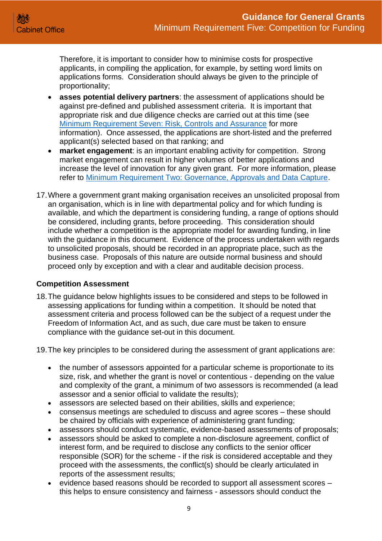Therefore, it is important to consider how to minimise costs for prospective applicants, in compiling the application, for example, by setting word limits on applications forms. Consideration should always be given to the principle of proportionality;

- **asses potential delivery partners**: the assessment of applications should be against pre-defined and published assessment criteria. It is important that appropriate risk and due diligence checks are carried out at this time (see [Minimum Requirement Seven: Risk, Controls and Assurance](https://assets.publishing.service.gov.uk/government/uploads/system/uploads/attachment_data/file/722201/Grants-Standard-SEVEN-Due-Diligence-and-Fraud-Risk.pdf) for more information). Once assessed, the applications are short-listed and the preferred applicant(s) selected based on that ranking; and
- **market engagement**: is an important enabling activity for competition. Strong market engagement can result in higher volumes of better applications and increase the level of innovation for any given grant. For more information, please refer to [Minimum Requirement Two: Governance, Approvals and Data Capture.](https://assets.publishing.service.gov.uk/government/uploads/system/uploads/attachment_data/file/722195/Grants-Standard-TWO-Approvals-and-Data-Capture.pdf)
- 17.Where a government grant making organisation receives an unsolicited proposal from an organisation, which is in line with departmental policy and for which funding is available, and which the department is considering funding, a range of options should be considered, including grants, before proceeding. This consideration should include whether a competition is the appropriate model for awarding funding, in line with the guidance in this document. Evidence of the process undertaken with regards to unsolicited proposals, should be recorded in an appropriate place, such as the business case. Proposals of this nature are outside normal business and should proceed only by exception and with a clear and auditable decision process.

#### <span id="page-8-0"></span>**Competition Assessment**

- 18.The guidance below highlights issues to be considered and steps to be followed in assessing applications for funding within a competition. It should be noted that assessment criteria and process followed can be the subject of a request under the Freedom of Information Act, and as such, due care must be taken to ensure compliance with the guidance set-out in this document.
- 19.The key principles to be considered during the assessment of grant applications are:
	- the number of assessors appointed for a particular scheme is proportionate to its size, risk, and whether the grant is novel or contentious - depending on the value and complexity of the grant, a minimum of two assessors is recommended (a lead assessor and a senior official to validate the results);
	- assessors are selected based on their abilities, skills and experience;
	- consensus meetings are scheduled to discuss and agree scores these should be chaired by officials with experience of administering grant funding;
	- assessors should conduct systematic, evidence-based assessments of proposals;
	- assessors should be asked to complete a non-disclosure agreement, conflict of interest form, and be required to disclose any conflicts to the senior officer responsible (SOR) for the scheme - if the risk is considered acceptable and they proceed with the assessments, the conflict(s) should be clearly articulated in reports of the assessment results;
	- evidence based reasons should be recorded to support all assessment scores this helps to ensure consistency and fairness - assessors should conduct the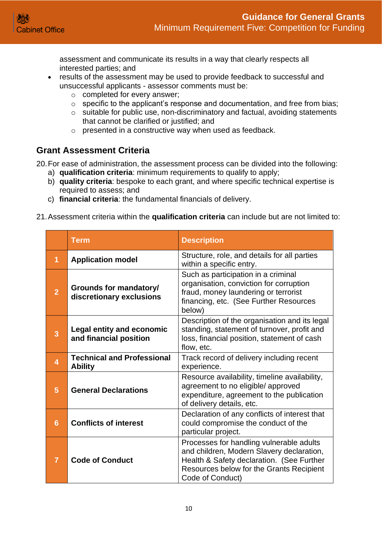assessment and communicate its results in a way that clearly respects all interested parties; and

- results of the assessment may be used to provide feedback to successful and unsuccessful applicants - assessor comments must be:
	- o completed for every answer;
	- o specific to the applicant's response and documentation, and free from bias;
	- o suitable for public use, non-discriminatory and factual, avoiding statements that cannot be clarified or justified; and
	- o presented in a constructive way when used as feedback.

#### <span id="page-9-0"></span>**Grant Assessment Criteria**

20.For ease of administration, the assessment process can be divided into the following:

- a) **qualification criteria**: minimum requirements to qualify to apply;
- b) **quality criteria**: bespoke to each grant, and where specific technical expertise is required to assess; and
- c) **financial criteria**: the fundamental financials of delivery.
- 21.Assessment criteria within the **qualification criteria** can include but are not limited to:

|                         | <b>Term</b>                                                | <b>Description</b>                                                                                                                                                                                 |
|-------------------------|------------------------------------------------------------|----------------------------------------------------------------------------------------------------------------------------------------------------------------------------------------------------|
| 1                       | <b>Application model</b>                                   | Structure, role, and details for all parties<br>within a specific entry.                                                                                                                           |
| $\overline{2}$          | Grounds for mandatory/<br>discretionary exclusions         | Such as participation in a criminal<br>organisation, conviction for corruption<br>fraud, money laundering or terrorist<br>financing, etc. (See Further Resources<br>below)                         |
| 3                       | <b>Legal entity and economic</b><br>and financial position | Description of the organisation and its legal<br>standing, statement of turnover, profit and<br>loss, financial position, statement of cash<br>flow, etc.                                          |
| $\overline{\mathbf{4}}$ | <b>Technical and Professional</b><br><b>Ability</b>        | Track record of delivery including recent<br>experience.                                                                                                                                           |
| 5                       | <b>General Declarations</b>                                | Resource availability, timeline availability,<br>agreement to no eligible/ approved<br>expenditure, agreement to the publication<br>of delivery details, etc.                                      |
| $6\phantom{1}$          | <b>Conflicts of interest</b>                               | Declaration of any conflicts of interest that<br>could compromise the conduct of the<br>particular project.                                                                                        |
| 7                       | <b>Code of Conduct</b>                                     | Processes for handling vulnerable adults<br>and children, Modern Slavery declaration,<br>Health & Safety declaration. (See Further<br>Resources below for the Grants Recipient<br>Code of Conduct) |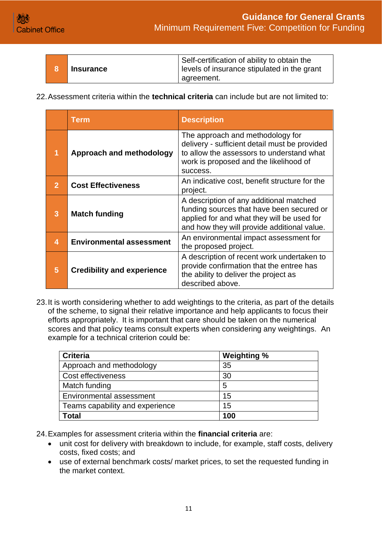

| <b>Insurance</b> | Self-certification of ability to obtain the<br>levels of insurance stipulated in the grant |
|------------------|--------------------------------------------------------------------------------------------|
|                  | agreement.                                                                                 |

22.Assessment criteria within the **technical criteria** can include but are not limited to:

|                         | Term                              | <b>Description</b>                                                                                                                                                                   |
|-------------------------|-----------------------------------|--------------------------------------------------------------------------------------------------------------------------------------------------------------------------------------|
| 1                       | Approach and methodology          | The approach and methodology for<br>delivery - sufficient detail must be provided<br>to allow the assessors to understand what<br>work is proposed and the likelihood of<br>success. |
| $\overline{2}$          | <b>Cost Effectiveness</b>         | An indicative cost, benefit structure for the<br>project.                                                                                                                            |
| 3                       | <b>Match funding</b>              | A description of any additional matched<br>funding sources that have been secured or<br>applied for and what they will be used for<br>and how they will provide additional value.    |
| $\overline{\mathbf{4}}$ | <b>Environmental assessment</b>   | An environmental impact assessment for<br>the proposed project.                                                                                                                      |
| 5                       | <b>Credibility and experience</b> | A description of recent work undertaken to<br>provide confirmation that the entree has<br>the ability to deliver the project as<br>described above.                                  |

23.It is worth considering whether to add weightings to the criteria, as part of the details of the scheme, to signal their relative importance and help applicants to focus their efforts appropriately. It is important that care should be taken on the numerical scores and that policy teams consult experts when considering any weightings. An example for a technical criterion could be:

| <b>Criteria</b>                 | <b>Weighting %</b> |
|---------------------------------|--------------------|
| Approach and methodology        | 35                 |
| Cost effectiveness              | 30                 |
| Match funding                   | 5                  |
| <b>Environmental assessment</b> | 15                 |
| Teams capability and experience | 15                 |
| Total                           | 100                |

24.Examples for assessment criteria within the **financial criteria** are:

- unit cost for delivery with breakdown to include, for example, staff costs, delivery costs, fixed costs; and
- use of external benchmark costs/ market prices, to set the requested funding in the market context.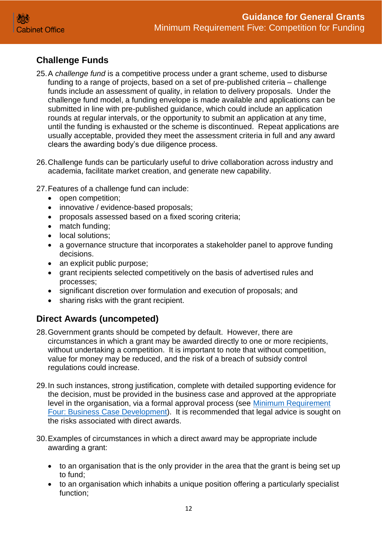# <span id="page-11-0"></span>**Challenge Funds**

- 25.A *challenge fund* is a competitive process under a grant scheme, used to disburse funding to a range of projects, based on a set of pre-published criteria – challenge funds include an assessment of quality, in relation to delivery proposals. Under the challenge fund model, a funding envelope is made available and applications can be submitted in line with pre-published guidance, which could include an application rounds at regular intervals, or the opportunity to submit an application at any time, until the funding is exhausted or the scheme is discontinued. Repeat applications are usually acceptable, provided they meet the assessment criteria in full and any award clears the awarding body's due diligence process.
- 26.Challenge funds can be particularly useful to drive collaboration across industry and academia, facilitate market creation, and generate new capability.

27.Features of a challenge fund can include:

- open competition;
- innovative / evidence-based proposals;
- proposals assessed based on a fixed scoring criteria;
- match funding:
- local solutions:
- a governance structure that incorporates a stakeholder panel to approve funding decisions.
- an explicit public purpose;
- grant recipients selected competitively on the basis of advertised rules and processes;
- significant discretion over formulation and execution of proposals; and
- sharing risks with the grant recipient.

# <span id="page-11-1"></span>**Direct Awards (uncompeted)**

- 28.Government grants should be competed by default. However, there are circumstances in which a grant may be awarded directly to one or more recipients, without undertaking a competition. It is important to note that without competition, value for money may be reduced, and the risk of a breach of subsidy control regulations could increase.
- 29.In such instances, strong justification, complete with detailed supporting evidence for the decision, must be provided in the business case and approved at the appropriate level in the organisation, via a formal approval process (see [Minimum Requirement](https://assets.publishing.service.gov.uk/government/uploads/system/uploads/attachment_data/file/722198/Grants-Standard-FOUR-Business-Case.pdf)  Four: Business [Case Development\)](https://assets.publishing.service.gov.uk/government/uploads/system/uploads/attachment_data/file/722198/Grants-Standard-FOUR-Business-Case.pdf). It is recommended that legal advice is sought on the risks associated with direct awards.
- 30.Examples of circumstances in which a direct award may be appropriate include awarding a grant:
	- to an organisation that is the only provider in the area that the grant is being set up to fund;
	- to an organisation which inhabits a unique position offering a particularly specialist function;